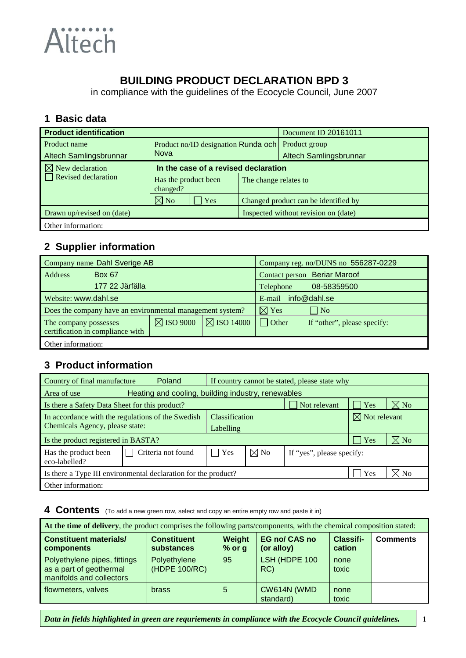

# **BUILDING PRODUCT DECLARATION BPD 3**

in compliance with the guidelines of the Ecocycle Council, June 2007

#### **1 Basic data**

| <b>Product identification</b> |                                      |     |                       | Document ID 20161011                 |
|-------------------------------|--------------------------------------|-----|-----------------------|--------------------------------------|
| Product name                  | Product no/ID designation Runda och  |     |                       | Product group                        |
| Altech Samlingsbrunnar        | <b>Nova</b>                          |     |                       | Altech Samlingsbrunnar               |
| $\boxtimes$ New declaration   | In the case of a revised declaration |     |                       |                                      |
| $\Box$ Revised declaration    | Has the product been<br>changed?     |     | The change relates to |                                      |
|                               | $\boxtimes$ No                       | Yes |                       | Changed product can be identified by |
| Drawn up/revised on (date)    |                                      |     |                       | Inspected without revision on (date) |
| Other information:            |                                      |     |                       |                                      |

#### **2 Supplier information**

| Company name Dahl Sverige AB                              |                 |                      | Company reg. no/DUNS no 556287-0229 |                                     |                             |  |
|-----------------------------------------------------------|-----------------|----------------------|-------------------------------------|-------------------------------------|-----------------------------|--|
| Address                                                   | <b>Box 67</b>   |                      |                                     | <b>Contact person</b> Beriar Maroof |                             |  |
|                                                           | 177 22 Järfälla |                      |                                     | Telephone                           | 08-58359500                 |  |
| Website: www.dahl.se                                      |                 |                      | E-mail info@dahl.se                 |                                     |                             |  |
| Does the company have an environmental management system? |                 |                      | $\nabla \times \mathbf{S}$          | $\vert$ No                          |                             |  |
| The company possesses<br>certification in compliance with |                 | $\boxtimes$ ISO 9000 | $\boxtimes$ ISO 14000               | $\Box$ Other                        | If "other", please specify: |  |
| Other information:                                        |                 |                      |                                     |                                     |                             |  |

# **3 Product information**

| Poland<br>Country of final manufacture<br>If country cannot be stated, please state why |                                                    |       |                |                           |     |                                    |
|-----------------------------------------------------------------------------------------|----------------------------------------------------|-------|----------------|---------------------------|-----|------------------------------------|
| Area of use                                                                             | Heating and cooling, building industry, renewables |       |                |                           |     |                                    |
| Is there a Safety Data Sheet for this product?                                          |                                                    |       |                | Not relevant              | Yes | $\boxtimes$ No                     |
| In accordance with the regulations of the Swedish<br>Chemicals Agency, please state:    | Classification                                     |       |                | $\boxtimes$ Not relevant  |     |                                    |
| Is the product registered in BASTA?                                                     |                                                    |       | Labelling      |                           |     | $\nabla\!\!\!\!\!\nabla\,{\bf No}$ |
|                                                                                         |                                                    |       |                |                           | Yes |                                    |
| Has the product been<br>eco-labelled?                                                   | Criteria not found                                 | l Yes | $\boxtimes$ No | If "yes", please specify: |     |                                    |
| $\boxtimes$ No<br>Yes<br>Is there a Type III environmental declaration for the product? |                                                    |       |                |                           |     |                                    |
| Other information:                                                                      |                                                    |       |                |                           |     |                                    |

**4 Contents** (To add a new green row, select and copy an entire empty row and paste it in)

| At the time of delivery, the product comprises the following parts/components, with the chemical composition stated: |                                  |                    |                                    |                            |                 |  |  |
|----------------------------------------------------------------------------------------------------------------------|----------------------------------|--------------------|------------------------------------|----------------------------|-----------------|--|--|
| <b>Constituent materials/</b><br>components                                                                          | <b>Constituent</b><br>substances | Weight<br>$%$ or g | <b>EG no/ CAS no</b><br>(or alloy) | <b>Classifi-</b><br>cation | <b>Comments</b> |  |  |
| Polyethylene pipes, fittings<br>as a part of geothermal<br>manifolds and collectors                                  | Polyethylene<br>(HDPE 100/RC)    | 95                 | LSH (HDPE 100<br>RC)               | none<br>toxic              |                 |  |  |
| flowmeters, valves                                                                                                   | <b>brass</b>                     | 5                  | CW614N (WMD<br>standard)           | none<br>toxic              |                 |  |  |

*Data in fields highlighted in green are requriements in compliance with the Ecocycle Council guidelines.* 1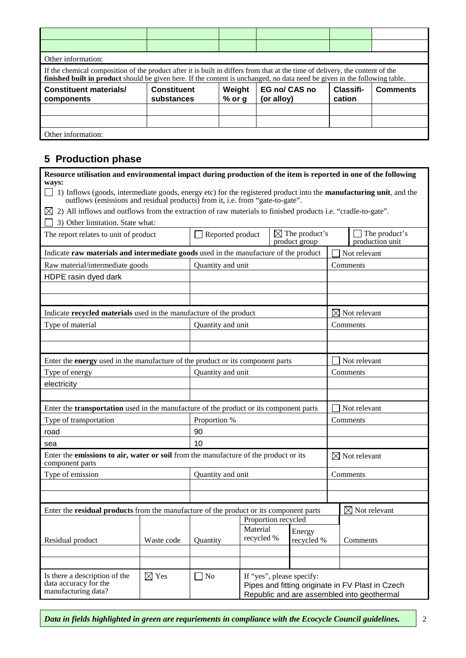| Other information:                                                                                                                                                                                                                                          |                                  |                    |                             |                     |                 |  |  |  |
|-------------------------------------------------------------------------------------------------------------------------------------------------------------------------------------------------------------------------------------------------------------|----------------------------------|--------------------|-----------------------------|---------------------|-----------------|--|--|--|
| If the chemical composition of the product after it is built in differs from that at the time of delivery, the content of the<br>finished built in product should be given here. If the content is unchanged, no data need be given in the following table. |                                  |                    |                             |                     |                 |  |  |  |
| <b>Constituent materials/</b><br>components                                                                                                                                                                                                                 | <b>Constituent</b><br>substances | Weight<br>$%$ or g | EG no/ CAS no<br>(or alloy) | Classifi-<br>cation | <b>Comments</b> |  |  |  |
|                                                                                                                                                                                                                                                             |                                  |                    |                             |                     |                 |  |  |  |
|                                                                                                                                                                                                                                                             |                                  |                    |                             |                     |                 |  |  |  |
| Other information:                                                                                                                                                                                                                                          |                                  |                    |                             |                     |                 |  |  |  |

# **5 Production phase**

| Resource utilisation and environmental impact during production of the item is reported in one of the following<br>ways:                                                                                 |                   |                                                                                      |                                                                                                |  |                                            |                          |                                         |
|----------------------------------------------------------------------------------------------------------------------------------------------------------------------------------------------------------|-------------------|--------------------------------------------------------------------------------------|------------------------------------------------------------------------------------------------|--|--------------------------------------------|--------------------------|-----------------------------------------|
| 1) Inflows (goods, intermediate goods, energy etc) for the registered product into the <b>manufacturing unit</b> , and the outflows (emissions and residual products) from it, i.e. from "gate-to-gate". |                   |                                                                                      |                                                                                                |  |                                            |                          |                                         |
| $\boxtimes$ 2) All inflows and outflows from the extraction of raw materials to finished products i.e. "cradle-to-gate".                                                                                 |                   |                                                                                      |                                                                                                |  |                                            |                          |                                         |
| 3) Other limitation. State what:                                                                                                                                                                         |                   |                                                                                      |                                                                                                |  |                                            |                          |                                         |
| The report relates to unit of product                                                                                                                                                                    |                   | $\Box$ Reported product                                                              |                                                                                                |  | $\boxtimes$ The product's<br>product group |                          | $\Box$ The product's<br>production unit |
| Indicate raw materials and intermediate goods used in the manufacture of the product                                                                                                                     |                   |                                                                                      |                                                                                                |  |                                            |                          | Not relevant                            |
| Raw material/intermediate goods                                                                                                                                                                          |                   | Quantity and unit                                                                    |                                                                                                |  |                                            |                          | Comments                                |
| HDPE rasin dyed dark                                                                                                                                                                                     |                   |                                                                                      |                                                                                                |  |                                            |                          |                                         |
|                                                                                                                                                                                                          |                   |                                                                                      |                                                                                                |  |                                            |                          |                                         |
|                                                                                                                                                                                                          |                   |                                                                                      |                                                                                                |  |                                            |                          |                                         |
| Indicate recycled materials used in the manufacture of the product                                                                                                                                       |                   |                                                                                      |                                                                                                |  |                                            |                          | $\boxtimes$ Not relevant                |
| Type of material                                                                                                                                                                                         |                   | Quantity and unit                                                                    |                                                                                                |  |                                            |                          | Comments                                |
|                                                                                                                                                                                                          |                   |                                                                                      |                                                                                                |  |                                            |                          |                                         |
|                                                                                                                                                                                                          |                   |                                                                                      |                                                                                                |  |                                            |                          |                                         |
| Enter the <b>energy</b> used in the manufacture of the product or its component parts                                                                                                                    |                   |                                                                                      |                                                                                                |  |                                            |                          | Not relevant                            |
| Type of energy                                                                                                                                                                                           |                   | Quantity and unit                                                                    |                                                                                                |  | Comments                                   |                          |                                         |
| electricity                                                                                                                                                                                              |                   |                                                                                      |                                                                                                |  |                                            |                          |                                         |
|                                                                                                                                                                                                          |                   |                                                                                      |                                                                                                |  |                                            |                          |                                         |
| Enter the transportation used in the manufacture of the product or its component parts                                                                                                                   |                   |                                                                                      |                                                                                                |  |                                            |                          | Not relevant                            |
| Type of transportation                                                                                                                                                                                   |                   | Proportion %                                                                         |                                                                                                |  |                                            |                          | Comments                                |
| road                                                                                                                                                                                                     |                   | 90                                                                                   |                                                                                                |  |                                            |                          |                                         |
| sea                                                                                                                                                                                                      |                   | 10                                                                                   |                                                                                                |  |                                            |                          |                                         |
| component parts                                                                                                                                                                                          |                   | Enter the emissions to air, water or soil from the manufacture of the product or its |                                                                                                |  |                                            | $\boxtimes$ Not relevant |                                         |
| Type of emission                                                                                                                                                                                         | Quantity and unit |                                                                                      |                                                                                                |  |                                            |                          | Comments                                |
|                                                                                                                                                                                                          |                   |                                                                                      |                                                                                                |  |                                            |                          |                                         |
|                                                                                                                                                                                                          |                   |                                                                                      |                                                                                                |  |                                            |                          |                                         |
| Enter the <b>residual products</b> from the manufacture of the product or its component parts                                                                                                            |                   |                                                                                      |                                                                                                |  |                                            |                          | $\boxtimes$ Not relevant                |
|                                                                                                                                                                                                          |                   |                                                                                      | Proportion recycled                                                                            |  |                                            |                          |                                         |
|                                                                                                                                                                                                          |                   |                                                                                      | Material<br>recycled %                                                                         |  | Energy                                     |                          |                                         |
| Residual product                                                                                                                                                                                         | Waste code        | Quantity                                                                             |                                                                                                |  | recycled %                                 |                          | Comments                                |
|                                                                                                                                                                                                          |                   |                                                                                      |                                                                                                |  |                                            |                          |                                         |
| Is there a description of the                                                                                                                                                                            | $\boxtimes$ Yes   | $\Box$ No                                                                            |                                                                                                |  | If "yes", please specify:                  |                          |                                         |
| data accuracy for the                                                                                                                                                                                    |                   |                                                                                      |                                                                                                |  |                                            |                          |                                         |
| manufacturing data?                                                                                                                                                                                      |                   |                                                                                      | Pipes and fitting originate in FV Plast in Czech<br>Republic and are assembled into geothermal |  |                                            |                          |                                         |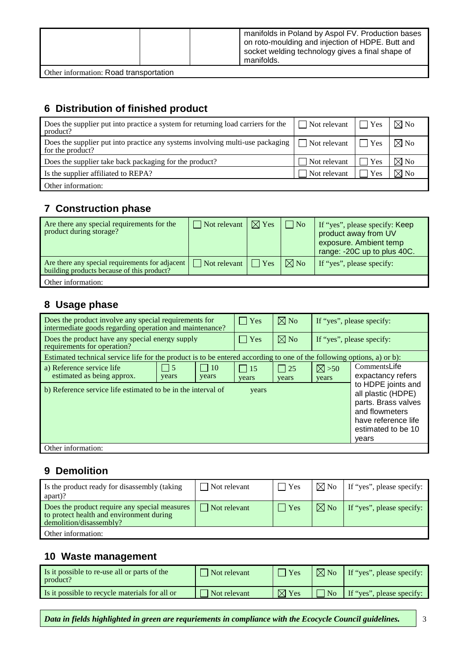|  |  |  |  | manifolds in Poland by Aspol FV. Production bases<br>on roto-moulding and injection of HDPE. Butt and<br>socket welding technology gives a final shape of<br>manifolds. |
|--|--|--|--|-------------------------------------------------------------------------------------------------------------------------------------------------------------------------|
|--|--|--|--|-------------------------------------------------------------------------------------------------------------------------------------------------------------------------|

Other information: Road transportation

## **6 Distribution of finished product**

| Does the supplier put into practice a system for returning load carriers for the<br>product?        | $\Box$ Not relevant  | $\Box$ Yes | $\boxtimes$ No |
|-----------------------------------------------------------------------------------------------------|----------------------|------------|----------------|
| Does the supplier put into practice any systems involving multi-use packaging  <br>for the product? | $\vert$ Not relevant | $\Box$ Yes | $\boxtimes$ No |
| Does the supplier take back packaging for the product?                                              | Not relevant         | Yes        | $\boxtimes$ No |
| Is the supplier affiliated to REPA?                                                                 | Not relevant         | Yes        | $\boxtimes$ No |
| Other information:                                                                                  |                      |            |                |

#### **7 Construction phase**

| Are there any special requirements for the<br>product during storage?                         | $\Box$ Not relevant | $\boxtimes$ Yes | $\vert$ No     | If "yes", please specify: Keep<br>product away from UV<br>exposure. Ambient temp<br>range: -20C up to plus 40C. |
|-----------------------------------------------------------------------------------------------|---------------------|-----------------|----------------|-----------------------------------------------------------------------------------------------------------------|
| Are there any special requirements for adjacent<br>building products because of this product? | $\Box$ Not relevant | $\vert$ Yes     | $\boxtimes$ No | If "yes", please specify:                                                                                       |
| Other information:                                                                            |                     |                 |                |                                                                                                                 |

## **8 Usage phase**

| Does the product involve any special requirements for<br>intermediate goods regarding operation and maintenance?        |                    |                     | $\vert$ Yes                  | $\boxtimes$ No        |                          | If "yes", please specify:                                                                                              |
|-------------------------------------------------------------------------------------------------------------------------|--------------------|---------------------|------------------------------|-----------------------|--------------------------|------------------------------------------------------------------------------------------------------------------------|
| Does the product have any special energy supply<br>requirements for operation?                                          |                    |                     | Yes                          | $\boxtimes$ No        |                          | If "yes", please specify:                                                                                              |
| Estimated technical service life for the product is to be entered according to one of the following options, a) or b):  |                    |                     |                              |                       |                          |                                                                                                                        |
| a) Reference service life<br>estimated as being approx.<br>b) Reference service life estimated to be in the interval of | $\vert$ 5<br>years | $\vert$ 10<br>years | $\vert$ 15<br>years<br>years | $\vert$   25<br>years | $\boxtimes >50$<br>years | CommentsLife<br>expactancy refers<br>to HDPE joints and<br>all plastic (HDPE)<br>parts. Brass valves<br>and flowmeters |
|                                                                                                                         |                    |                     |                              |                       |                          | have reference life<br>estimated to be 10<br>years                                                                     |
| Other information:                                                                                                      |                    |                     |                              |                       |                          |                                                                                                                        |

#### **9 Demolition**

| Is the product ready for disassembly (taking<br>apart)?                                                              | Not relevant         | Yes         | $\boxtimes$ No | If "yes", please specify: |
|----------------------------------------------------------------------------------------------------------------------|----------------------|-------------|----------------|---------------------------|
| Does the product require any special measures<br>to protect health and environment during<br>demolition/disassembly? | $\vert$ Not relevant | $\vert$ Yes | $\boxtimes$ No | If "yes", please specify: |
| Other information:                                                                                                   |                      |             |                |                           |

#### **10 Waste management**

| Is it possible to re-use all or parts of the<br>product? | Not relevant | $\bigvee$ Yes   | $\boxtimes$ No   | If "yes", please specify: |
|----------------------------------------------------------|--------------|-----------------|------------------|---------------------------|
| Is it possible to recycle materials for all or           | Not relevant | $\boxtimes$ Yes | $\overline{N_0}$ | If "yes", please specify: |

*Data in fields highlighted in green are requriements in compliance with the Ecocycle Council guidelines.*  $\vert$  3